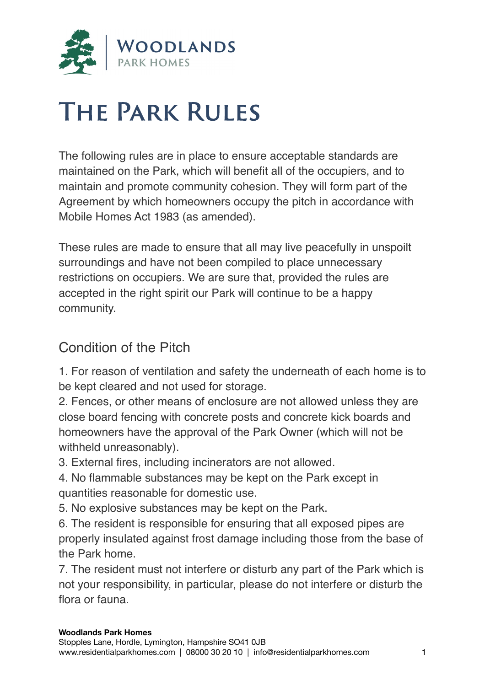

# **The Park Rules**

The following rules are in place to ensure acceptable standards are maintained on the Park, which will benefit all of the occupiers, and to maintain and promote community cohesion. They will form part of the Agreement by which homeowners occupy the pitch in accordance with Mobile Homes Act 1983 (as amended).

These rules are made to ensure that all may live peacefully in unspoilt surroundings and have not been compiled to place unnecessary restrictions on occupiers. We are sure that, provided the rules are accepted in the right spirit our Park will continue to be a happy community.

# Condition of the Pitch

1. For reason of ventilation and safety the underneath of each home is to be kept cleared and not used for storage.

2. Fences, or other means of enclosure are not allowed unless they are close board fencing with concrete posts and concrete kick boards and homeowners have the approval of the Park Owner (which will not be withheld unreasonably).

3. External fires, including incinerators are not allowed.

4. No flammable substances may be kept on the Park except in quantities reasonable for domestic use.

5. No explosive substances may be kept on the Park.

6. The resident is responsible for ensuring that all exposed pipes are properly insulated against frost damage including those from the base of the Park home.

7. The resident must not interfere or disturb any part of the Park which is not your responsibility, in particular, please do not interfere or disturb the flora or fauna.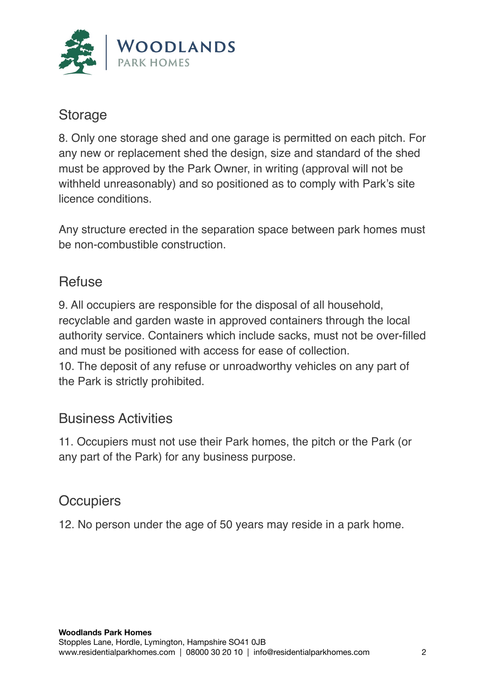

#### Storage

8. Only one storage shed and one garage is permitted on each pitch. For any new or replacement shed the design, size and standard of the shed must be approved by the Park Owner, in writing (approval will not be withheld unreasonably) and so positioned as to comply with Park's site licence conditions.

Any structure erected in the separation space between park homes must be non-combustible construction.

# **Refuse**

9. All occupiers are responsible for the disposal of all household, recyclable and garden waste in approved containers through the local authority service. Containers which include sacks, must not be over-filled and must be positioned with access for ease of collection. 10. The deposit of any refuse or unroadworthy vehicles on any part of the Park is strictly prohibited.

#### Business Activities

11. Occupiers must not use their Park homes, the pitch or the Park (or any part of the Park) for any business purpose.

#### **Occupiers**

12. No person under the age of 50 years may reside in a park home.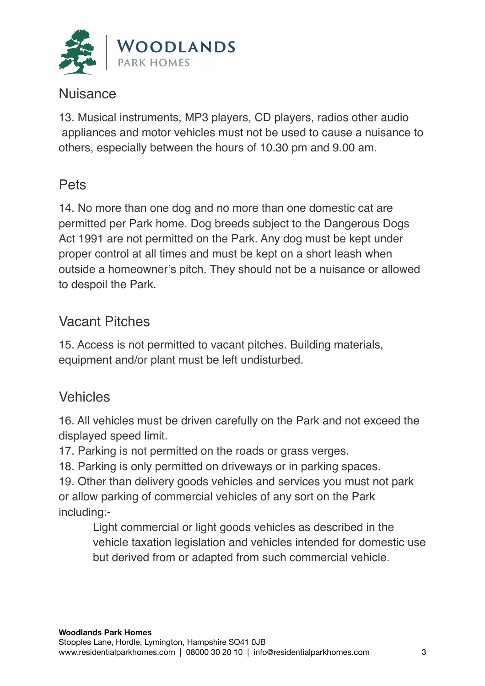

#### Nuisance

13. Musical instruments, MP3 players, CD players, radios other audio appliances and motor vehicles must not be used to cause a nuisance to others, especially between the hours of 10.30 pm and 9.00 am.

#### Pets

14. No more than one dog and no more than one domestic cat are permitted per Park home. Dog breeds subject to the Dangerous Dogs Act 1991 are not permitted on the Park. Any dog must be kept under proper control at all times and must be kept on a short leash when outside a homeowner's pitch. They should not be a nuisance or allowed to despoil the Park.

## Vacant Pitches

15. Access is not permitted to vacant pitches. Building materials, equipment and/or plant must be left undisturbed.

## Vehicles

16. All vehicles must be driven carefully on the Park and not exceed the displayed speed limit.

17. Parking is not permitted on the roads or grass verges.

18. Parking is only permitted on driveways or in parking spaces.

19. Other than delivery goods vehicles and services you must not park or allow parking of commercial vehicles of any sort on the Park including:-

Light commercial or light goods vehicles as described in the vehicle taxation legislation and vehicles intended for domestic use but derived from or adapted from such commercial vehicle.